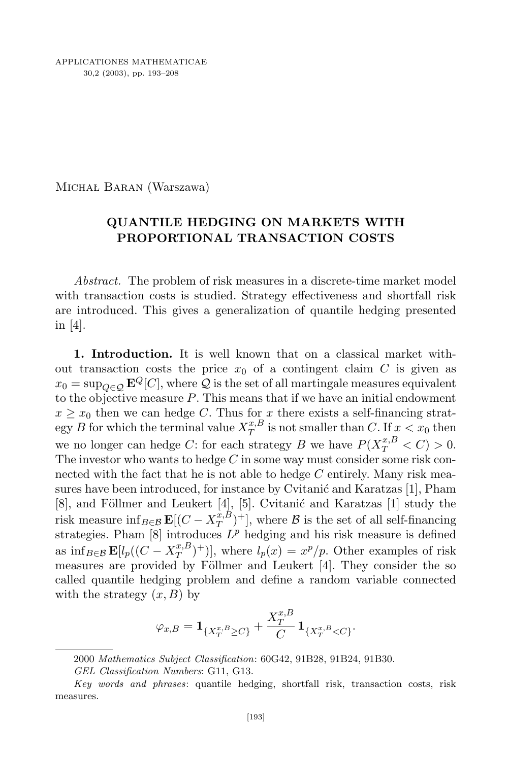Michał Baran (Warszawa)

## **QUANTILE HEDGING ON MARKETS WITH PROPORTIONAL TRANSACTION COSTS**

*Abstract.* The problem of risk measures in a discrete-time market model with transaction costs is studied. Strategy effectiveness and shortfall risk are introduced. This gives a generalization of quantile hedging presented in [4].

**1. Introduction.** It is well known that on a classical market without transaction costs the price  $x_0$  of a contingent claim  $C$  is given as  $x_0 = \sup_{Q \in \mathcal{Q}} \mathbf{E}^Q[C]$ , where  $Q$  is the set of all martingale measures equivalent to the objective measure *P*. This means that if we have an initial endowment  $x \geq x_0$  then we can hedge *C*. Thus for *x* there exists a self-financing strat- $\log y \, B$  for which the terminal value  $X^{x,B}_T$  $T^{x,D}_T$  is not smaller than *C*. If  $x < x_0$  then we no longer can hedge *C*: for each strategy *B* we have  $P(X_T^{x,B} < C) > 0$ . The investor who wants to hedge *C* in some way must consider some risk connected with the fact that he is not able to hedge *C* entirely. Many risk measures have been introduced, for instance by Cvitanić and Karatzas [1], Pham  $[8]$ , and Föllmer and Leukert  $[4]$ ,  $[5]$ . Cvitanić and Karatzas  $[1]$  study the risk measure inf<sub>*B*∈B</sub> **E**[ $(C - X_T^{x,B})$  $T^{x,B}_{T}$  )<sup>+</sup>], where *B* is the set of all self-financing strategies. Pham [8] introduces *L <sup>p</sup>* hedging and his risk measure is defined as  $\inf_{B \in \mathcal{B}} \mathbf{E}[l_p((C - X_T^{x,B}))]$  $(T^{x,B}_{T})^{+}$ ], where  $l_{p}(x) = x^{p}/p$ . Other examples of risk measures are provided by Föllmer and Leukert [4]. They consider the so called quantile hedging problem and define a random variable connected with the strategy  $(x, B)$  by

$$
\varphi_{x,B} = \mathbf{1}_{\{X_T^{x,B} \ge C\}} + \frac{X_T^{x,B}}{C} \mathbf{1}_{\{X_T^{x,B} < C\}}.
$$

<sup>2000</sup> *Mathematics Subject Classification*: 60G42, 91B28, 91B24, 91B30.

*GEL Classification Numbers*: G11, G13.

*Key words and phrases*: quantile hedging, shortfall risk, transaction costs, risk measures.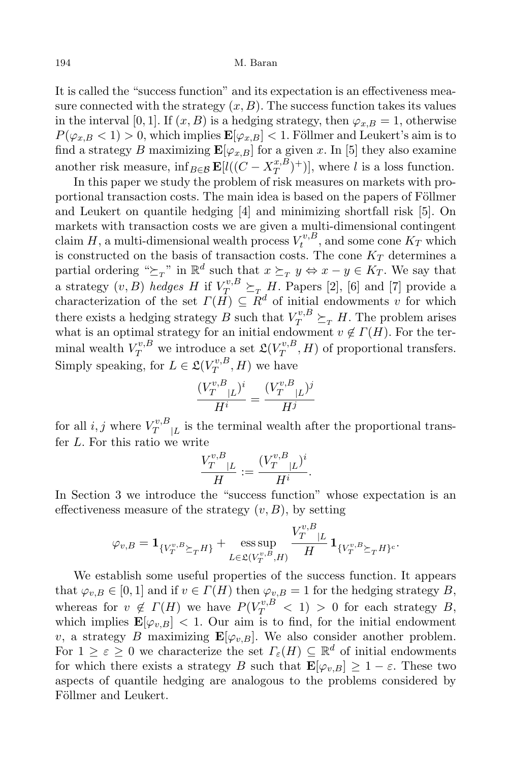It is called the "success function" and its expectation is an effectiveness measure connected with the strategy  $(x, B)$ . The success function takes its values in the interval [0, 1]. If  $(x, B)$  is a hedging strategy, then  $\varphi_{x,B} = 1$ , otherwise  $P(\varphi_{x,B} \leq 1) > 0$ , which implies  $\mathbf{E}[\varphi_{x,B}] < 1$ . Föllmer and Leukert's aim is to find a strategy *B* maximizing  $\mathbf{E}[\varphi_{x,B}]$  for a given *x*. In [5] they also examine another risk measure,  $\inf_{B \in \mathcal{B}} \mathbf{E}[l((C - X_T^{x,B}))]$  $\binom{x,B}{T}$  + )], where *l* is a loss function.

In this paper we study the problem of risk measures on markets with proportional transaction costs. The main idea is based on the papers of Föllmer and Leukert on quantile hedging [4] and minimizing shortfall risk [5]. On markets with transaction costs we are given a multi-dimensional contingent  $\mathop{\rm claim} H$ , a multi-dimensional wealth process  $V_t^{v,B}$  $t^{v,B}_t$ , and some cone  $K_T$  which is constructed on the basis of transaction costs. The cone  $K_T$  determines a partial ordering " $\succeq_T$ " in  $\mathbb{R}^d$  such that  $x \succeq_T y \Leftrightarrow x - y \in K_T$ . We say that a strategy  $(v, B)$  *hedges H* if  $V_T^{v, B} \succeq_T H$ . Papers [2], [6] and [7] provide a characterization of the set  $\Gamma(H) \subseteq R^d$  of initial endowments *v* for which there exists a hedging strategy *B* such that  $V_T^{v,B} \succeq_T H$ . The problem arises what is an optimal strategy for an initial endowment  $v \notin \Gamma(H)$ . For the terminal wealth  $V_T^{v,B}$  we introduce a set  $\mathfrak{L}(V_T^{v,B})$  $T^{v,B}_T$ , *H*) of proportional transfers. Simply speaking, for  $L \in \mathfrak{L}(V_T^{v,B})$  $T^{v,D}_T$ , *H*) we have

$$
\frac{(V_T^{v,B}_{T}|_L)^i}{H^i} = \frac{(V_T^{v,B}_{T}|_L)^j}{H^j}
$$

for all  $i, j$  where  $V_T^{v,B}$  $T^{v,B}_{\mu}$  is the terminal wealth after the proportional transfer *L*. For this ratio we write

$$
\frac{V_T^{v,B}_{T}|_L}{H} := \frac{(V_T^{v,B}_{T}|_L)^i}{H^i}.
$$

In Section 3 we introduce the "success function" whose expectation is an effectiveness measure of the strategy  $(v, B)$ , by setting

$$
\varphi_{v,B} = \mathbf{1}_{\{V_T^{v,B}\succeq_T H\}} + \underset{L \in \mathfrak{L}(V_T^{v,B},H)}{\mathrm{ess}\sup} \frac{V_T^{v,B}_{T}|_L}{H} \mathbf{1}_{\{V_T^{v,B}\succeq_T H\}^c}.
$$

We establish some useful properties of the success function. It appears that  $\varphi_{v,B} \in [0,1]$  and if  $v \in \Gamma(H)$  then  $\varphi_{v,B} = 1$  for the hedging strategy *B*, whereas for  $v \notin \Gamma(H)$  we have  $P(V_T^{v,B} < 1) > 0$  for each strategy *B*, which implies  $\mathbf{E}[\varphi_{v,B}] < 1$ . Our aim is to find, for the initial endowment *v*, a strategy *B* maximizing  $\mathbf{E}[\varphi_{v,B}]$ . We also consider another problem. For  $1 \geq \varepsilon \geq 0$  we characterize the set  $\Gamma_{\varepsilon}(H) \subseteq \mathbb{R}^d$  of initial endowments for which there exists a strategy *B* such that  $\mathbf{E}[\varphi_{v,B}] \geq 1 - \varepsilon$ . These two aspects of quantile hedging are analogous to the problems considered by Föllmer and Leukert.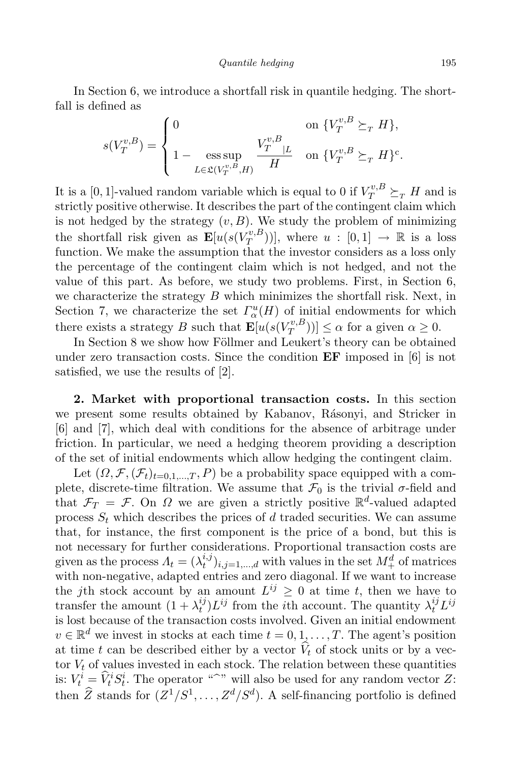In Section 6, we introduce a shortfall risk in quantile hedging. The shortfall is defined as

$$
s(V_T^{v,B}) = \begin{cases} 0 & \text{on } \{V_T^{v,B} \succeq_T H\}, \\ 1 - \operatorname*{ess\,sup}_{L \in \mathfrak{L}(V_T^{v,B},H)} \frac{V_T^{v,B}}{H} & \text{on } \{V_T^{v,B} \succeq_T H\}^c. \end{cases}
$$

It is a [0, 1]-valued random variable which is equal to 0 if  $V_T^{v,B} \succeq_T H$  and is strictly positive otherwise. It describes the part of the contingent claim which is not hedged by the strategy  $(v, B)$ . We study the problem of minimizing the shortfall risk given as  $\mathbf{E}[u(s(V_T^{v,B}))]$  $(T^{\nu,D}_{T})$ ), where  $u : [0,1] \rightarrow \mathbb{R}$  is a loss function. We make the assumption that the investor considers as a loss only the percentage of the contingent claim which is not hedged, and not the value of this part. As before, we study two problems. First, in Section 6, we characterize the strategy *B* which minimizes the shortfall risk. Next, in Section 7, we characterize the set  $\Gamma^u_\alpha(H)$  of initial endowments for which there exists a strategy *B* such that  $\mathbf{E}[u(s(V_T^{v,B})]$  $(T^{(v,B)}_{T})$ )]  $\leq \alpha$  for a given  $\alpha \geq 0$ .

In Section 8 we show how Föllmer and Leukert's theory can be obtained under zero transaction costs. Since the condition **EF** imposed in [6] is not satisfied, we use the results of [2].

**2. Market with proportional transaction costs.** In this section we present some results obtained by Kabanov, Rásonyi, and Stricker in [6] and [7], which deal with conditions for the absence of arbitrage under friction. In particular, we need a hedging theorem providing a description of the set of initial endowments which allow hedging the contingent claim.

Let  $(\Omega, \mathcal{F}, (\mathcal{F}_t)_{t=0,1,\dots,T}, P)$  be a probability space equipped with a complete, discrete-time filtration. We assume that  $\mathcal{F}_0$  is the trivial  $\sigma$ -field and that  $\mathcal{F}_T = \mathcal{F}$ . On  $\Omega$  we are given a strictly positive  $\mathbb{R}^d$ -valued adapted process  $S_t$  which describes the prices of  $d$  traded securities. We can assume that, for instance, the first component is the price of a bond, but this is not necessary for further considerations. Proportional transaction costs are given as the process  $\Lambda_t = (\lambda_t^{i,j})$  $\binom{i,j}{t}$ , *i*, *j*=1,...,*d* with values in the set  $M_+^d$  of matrices with non-negative, adapted entries and zero diagonal. If we want to increase the *j*th stock account by an amount  $L^{ij} \geq 0$  at time *t*, then we have to transfer the amount  $(1 + \lambda_t^{ij})$  $\lambda_t^{ij} L^{ij}$  from the *i*<sup>th</sup> account. The quantity  $\lambda_t^{ij} L^{ij}$ is lost because of the transaction costs involved. Given an initial endowment  $v \in \mathbb{R}^d$  we invest in stocks at each time  $t = 0, 1, \ldots, T$ . The agent's position at time *t* can be described either by a vector  $\hat{V}_t$  of stock units or by a vector  $V_t$  of values invested in each stock. The relation between these quantities is:  $V_t^i = \hat{V}_t^i S_t^i$ . The operator "b" will also be used for any random vector *Z*: then  $\widehat{Z}$  stands for  $(Z^1/S^1, \ldots, Z^d/S^d)$ . A self-financing portfolio is defined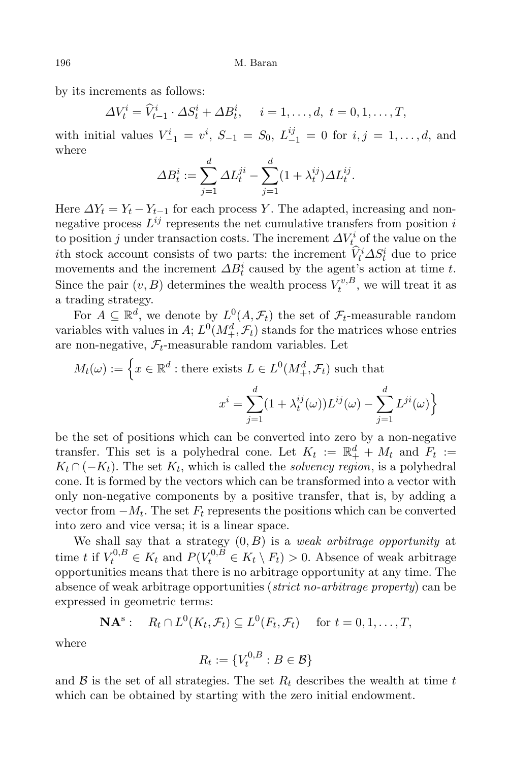by its increments as follows:

$$
\Delta V_t^i = \widehat{V}_{t-1}^i \cdot \Delta S_t^i + \Delta B_t^i, \quad i = 1, \dots, d, \ t = 0, 1, \dots, T,
$$

with initial values  $V_{-1}^i = v^i$ ,  $S_{-1} = S_0$ ,  $L_{-1}^{ij} = 0$  for  $i, j = 1, ..., d$ , and where

$$
\Delta B_t^i := \sum_{j=1}^d \Delta L_t^{ji} - \sum_{j=1}^d (1 + \lambda_t^{ij}) \Delta L_t^{ij}.
$$

Here  $\Delta Y_t = Y_t - Y_{t-1}$  for each process *Y*. The adapted, increasing and nonnegative process *L ij* represents the net cumulative transfers from position *i* to position *j* under transaction costs. The increment  $\Delta V_t^i$  of the value on the *i*th stock account consists of two parts: the increment  $\ddot{V}_t^i \Delta S_t^i$  due to price movements and the increment  $\Delta B_t^i$  caused by the agent's action at time *t*. Since the pair  $(v, B)$  determines the wealth process  $V_t^{v, B}$  $t^{v,D}_t$ , we will treat it as a trading strategy.

For  $A \subseteq \mathbb{R}^d$ , we denote by  $L^0(A, \mathcal{F}_t)$  the set of  $\mathcal{F}_t$ -measurable random variables with values in *A*;  $L^0(M^d_+, \mathcal{F}_t)$  stands for the matrices whose entries are non-negative,  $\mathcal{F}_t$ -measurable random variables. Let

$$
M_t(\omega) := \left\{ x \in \mathbb{R}^d : \text{there exists } L \in L^0(M_+^d, \mathcal{F}_t) \text{ such that } \right\}
$$

$$
x^i = \sum_{j=1}^d (1 + \lambda_t^{ij}(\omega)) L^{ij}(\omega) - \sum_{j=1}^d L^{ji}(\omega) \right\}
$$

be the set of positions which can be converted into zero by a non-negative transfer. This set is a polyhedral cone. Let  $K_t := \mathbb{R}_+^d + M_t$  and  $F_t :=$  $K_t \cap (-K_t)$ . The set  $K_t$ , which is called the *solvency region*, is a polyhedral cone. It is formed by the vectors which can be transformed into a vector with only non-negative components by a positive transfer, that is, by adding a vector from  $-M_t$ . The set  $F_t$  represents the positions which can be converted into zero and vice versa; it is a linear space.

We shall say that a strategy (0*, B*) is a *weak arbitrage opportunity* at time *t* if  $V_t^{0,B} \in K_t$  and  $P(V_t^{0,B} \in K_t \setminus F_t) > 0$ . Absence of weak arbitrage opportunities means that there is no arbitrage opportunity at any time. The absence of weak arbitrage opportunities (*strict no-arbitrage property*) can be expressed in geometric terms:

$$
\mathbf{NA}^s: \quad R_t \cap L^0(K_t, \mathcal{F}_t) \subseteq L^0(F_t, \mathcal{F}_t) \quad \text{ for } t = 0, 1, \dots, T,
$$

where

$$
R_t := \{V_t^{0,B} : B \in \mathcal{B}\}
$$

and  $\beta$  is the set of all strategies. The set  $R_t$  describes the wealth at time  $t$ which can be obtained by starting with the zero initial endowment.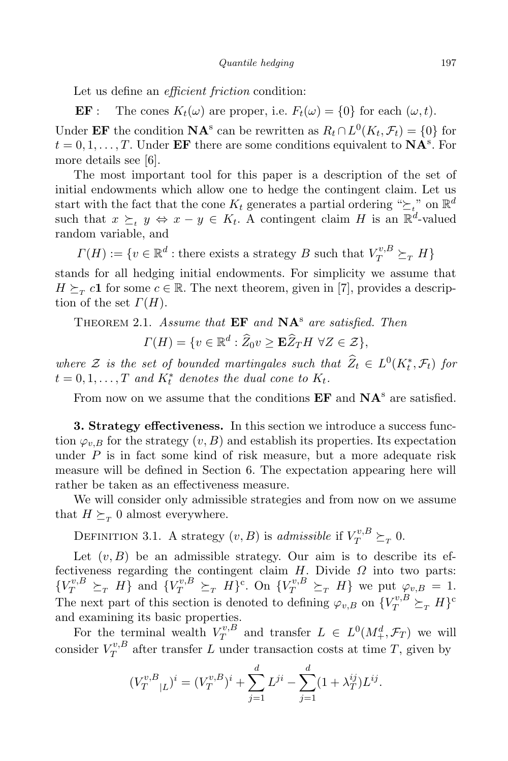Let us define an *efficient friction* condition:

**EF**: The cones  $K_t(\omega)$  are proper, i.e.  $F_t(\omega) = \{0\}$  for each  $(\omega, t)$ . Under **EF** the condition **NA**<sup>s</sup> can be rewritten as  $R_t \cap L^0(K_t, \mathcal{F}_t) = \{0\}$  for  $t = 0, 1, \ldots, T$ . Under **EF** there are some conditions equivalent to **NA**<sup>s</sup>. For more details see [6].

The most important tool for this paper is a description of the set of initial endowments which allow one to hedge the contingent claim. Let us start with the fact that the cone  $K_t$  generates a partial ordering " $\geq t$ " on  $\mathbb{R}^d$ such that  $x \succeq_t y \Leftrightarrow x - y \in K_t$ . A contingent claim *H* is an  $\mathbb{R}^d$ -valued random variable, and

 $\Gamma(H) := \{ v \in \mathbb{R}^d : \text{there exists a strategy } B \text{ such that } V_T^{v,B} \succeq_T H \}$ 

stands for all hedging initial endowments. For simplicity we assume that  $H \succeq_T c$ **1** for some  $c \in \mathbb{R}$ . The next theorem, given in [7], provides a description of the set  $\Gamma(H)$ .

Theorem 2.1. *Assume that* **EF** *and* **NA**<sup>s</sup> *are satisfied. Then*

$$
\Gamma(H) = \{ v \in \mathbb{R}^d : \widehat{Z}_0 v \ge \mathbf{E} \widehat{Z}_T H \ \forall Z \in \mathcal{Z} \},
$$

*where*  $\mathcal{Z}$  *is the set of bounded martingales such that*  $\widehat{Z}_t \in L^0(K_t^*, \mathcal{F}_t)$  *for*  $t = 0, 1, \ldots, T$  and  $K_t^*$  denotes the dual cone to  $K_t$ .

From now on we assume that the conditions **EF** and  $NA^s$  are satisfied.

**3. Strategy effectiveness.** In this section we introduce a success function  $\varphi_{v,B}$  for the strategy  $(v,B)$  and establish its properties. Its expectation under  $P$  is in fact some kind of risk measure, but a more adequate risk measure will be defined in Section 6. The expectation appearing here will rather be taken as an effectiveness measure.

We will consider only admissible strategies and from now on we assume that  $H \succeq_T 0$  almost everywhere.

DEFINITION 3.1. A strategy  $(v, B)$  is *admissible* if  $V_T^{v, B} \succeq_T 0$ .

Let  $(v, B)$  be an admissible strategy. Our aim is to describe its effectiveness regarding the contingent claim *H*. Divide *Ω* into two parts:  $\{V_T^{v,B} \succeq_T H\}$  and  $\{V_T^{v,B} \succeq_T H\}^c$ . On  $\{V_T^{v,B} \succeq_T H\}$  we put  $\varphi_{v,B} = 1$ . The next part of this section is denoted to defining  $\varphi_{v,B}$  on  $\{V_T^{v,B} \succeq_T H\}^c$ and examining its basic properties.

For the terminal wealth  $V_T^{v,B}$  $T^{v,B}_T$  and transfer  $L \in L^0(M^d_+, \mathcal{F}_T)$  we will  $\overline{\text{consider } V^{v,B}_T}$  $T^{v,B}_{T}$  after transfer *L* under transaction costs at time *T*, given by

$$
(V_T^{v,B}_{T}|_L)^i = (V_T^{v,B})^i + \sum_{j=1}^d L^{ji} - \sum_{j=1}^d (1 + \lambda_T^{ij}) L^{ij}.
$$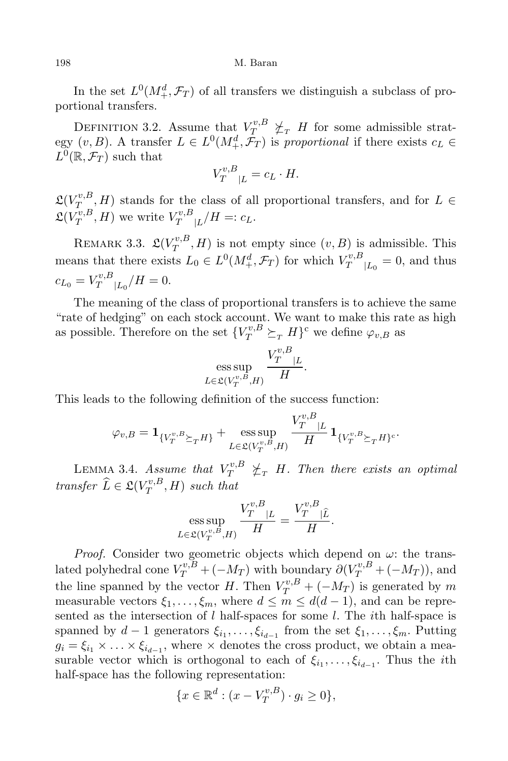198 M. Baran

In the set  $L^0(M^d_+, \mathcal{F}_T)$  of all transfers we distinguish a subclass of proportional transfers.

DEFINITION 3.2. Assume that  $V_T^{v,B} \not\subset_T H$  for some admissible strategy  $(v, B)$ . A transfer  $L \in L^0(M^d_+, \mathcal{F}_T)$  is *proportional* if there exists  $c_L \in$  $L^0(\mathbb{R}, \mathcal{F}_T)$  such that

$$
V_T^{v,B}_{T|L} = c_L \cdot H.
$$

 $\mathfrak{L}(V_T^{v,B}$  $T_{T,R}^{(v,B)}$ , *H*) stands for the class of all proportional transfers, and for  $L \in$  $\mathfrak{L}(V_T^{v,B}$  $V_T^{v,B}, H$ ) we write  $V_T^{v,B}$  $T^{v,D}_{T|L}/H =: c_L.$ 

REMARK 3.3.  $\mathfrak{L}(V_T^{v,B},H)$  is not empty since  $(v,B)$  is admissible. This *T* means that there exists  $L_0 \in L^0(M^d_+, \mathcal{F}_T)$  for which  $V_T^{v, B}$  $T^{v,D}_{T}|_{L_0} = 0$ , and thus  $c_{L_0} = V_T^{v,B}$  $T^{v,B}_{T}|_{L_0}/H = 0.$ 

The meaning of the class of proportional transfers is to achieve the same "rate of hedging" on each stock account. We want to make this rate as high as possible. Therefore on the set  ${V_T^{v,B} \succeq_T H}^c$  we define  $\varphi_{v,B}$  as

$$
\underset{L\in\mathfrak{L}(V_T^{v,B},H)}{\operatorname{ess\,sup}}\,\frac{V_T^{v,B}_{T}|_L}{H}.
$$

This leads to the following definition of the success function:

$$
\varphi_{v,B} = \mathbf{1}_{\{V_T^{v,B}_{T}\succeq_T H\}} + \underset{L \in \mathfrak{L}(V_T^{v,B},H)}{\text{ess sup}} \frac{V_T^{v,B}_{T}}{H} \mathbf{1}_{\{V_T^{v,B}_{T}\succeq_T H\}}.
$$

LEMMA 3.4. *Assume that*  $V_T^{v,B} \not\leq_T H$ *. Then there exists an optimal transfer*  $\widehat{L} \in \mathfrak{L}(V_T^{v,B})$  $T^{v, D}_T$ , *H*) *such that* 

$$
\underset{L \in \mathfrak{L}(V_T^{v,B},H)}{\text{ess sup}} \frac{V_T^{v,B}_{T}|_L}{H} = \frac{V_T^{v,B}_{T}|_L}{H}.
$$

*Proof.* Consider two geometric objects which depend on *ω*: the translated polyhedral cone  $V_T^{v,B} + (-M_T)$  with boundary  $\partial (V_T^{v,B} + (-M_T))$ , and the line spanned by the vector *H*. Then  $V_T^{v,B} + (-M_T)$  is generated by *m* measurable vectors  $\xi_1, \ldots, \xi_m$ , where  $d \leq m \leq d(d-1)$ , and can be represented as the intersection of *l* half-spaces for some *l*. The *i*th half-space is spanned by  $d-1$  generators  $\xi_{i_1}, \ldots, \xi_{i_{d-1}}$  from the set  $\xi_1, \ldots, \xi_m$ . Putting  $g_i = \xi_{i_1} \times \ldots \times \xi_{i_{d-1}}$ , where  $\times$  denotes the cross product, we obtain a measurable vector which is orthogonal to each of  $\xi_{i_1}, \ldots, \xi_{i_{d-1}}$ . Thus the *i*th half-space has the following representation:

$$
\{x \in \mathbb{R}^d : (x - V_T^{v,B}) \cdot g_i \ge 0\},\
$$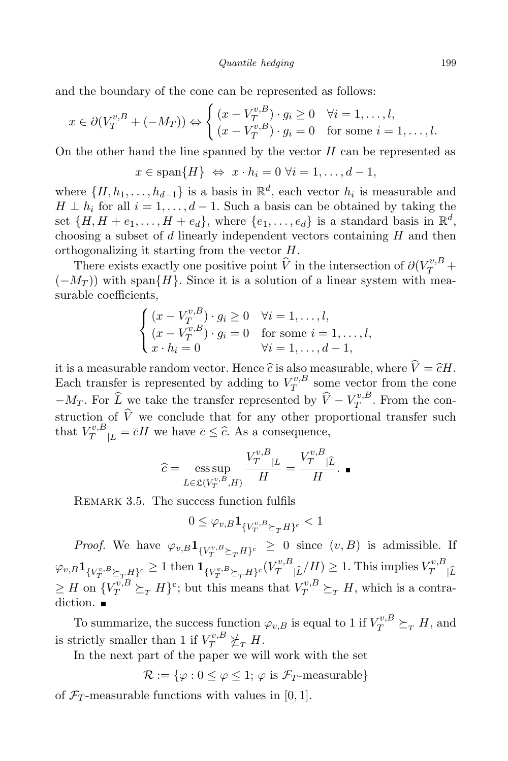and the boundary of the cone can be represented as follows:

$$
x \in \partial (V_T^{v,B} + (-M_T)) \Leftrightarrow \begin{cases} (x - V_T^{v,B}) \cdot g_i \ge 0 & \forall i = 1, \dots, l, \\ (x - V_T^{v,B}) \cdot g_i = 0 & \text{for some } i = 1, \dots, l. \end{cases}
$$

On the other hand the line spanned by the vector *H* can be represented as

$$
x \in \text{span}\{H\} \Leftrightarrow x \cdot h_i = 0 \,\forall i = 1, \dots, d-1,
$$

where  $\{H, h_1, \ldots, h_{d-1}\}$  is a basis in  $\mathbb{R}^d$ , each vector  $h_i$  is measurable and *H* ⊥ *h*<sub>i</sub> for all  $i = 1, \ldots, d - 1$ . Such a basis can be obtained by taking the set  $\{H, H + e_1, \ldots, H + e_d\}$ , where  $\{e_1, \ldots, e_d\}$  is a standard basis in  $\mathbb{R}^d$ , choosing a subset of *d* linearly independent vectors containing *H* and then orthogonalizing it starting from the vector *H*.

There exists exactly one positive point  $\hat{V}$  in the intersection of  $\partial (V_T^{v,B} +$ (*−M<sup>T</sup>* )) with span*{H}*. Since it is a solution of a linear system with measurable coefficients,

$$
\begin{cases}\n(x - V_T^{v,B}) \cdot g_i \ge 0 & \forall i = 1, \dots, l, \\
(x - V_T^{v,B}) \cdot g_i = 0 & \text{for some } i = 1, \dots, l, \\
x \cdot h_i = 0 & \forall i = 1, \dots, d - 1,\n\end{cases}
$$

it is a measurable random vector. Hence  $\hat{c}$  is also measurable, where  $\hat{V} = \hat{c}H$ . Each transfer is represented by adding to  $V_T^{v,B}$  $T^{v,B}$  some vector from the cone  $-M_T$ . For  $\widehat{L}$  we take the transfer represented by  $\widehat{V} - V_T^{v,B}$  $T^{v,B}_{T}$ . From the construction of  $\hat{V}$  we conclude that for any other proportional transfer such that  $V_T^{v,B}_{T|L} = \overline{c}H$  we have  $\overline{c} \leq \widehat{c}$ . As a consequence,

$$
\widehat{c} = \operatorname*{ess\,sup}_{L \in \mathfrak{L}(V_T^{v,B},H)} \frac{V_T^{v,B}_{T}|_L}{H} = \frac{V_T^{v,B}_{T}|_L}{H}.
$$

REMARK 3.5. The success function fulfils

$$
0\leq \varphi_{v,B} \mathbf{1}_{\{V_T^{v,B}\succeq_T H\}^c}<1
$$

*Proof.* We have  $\varphi_{v,B} \mathbf{1}_{\{V_T^{v,B}\succeq_T H\}^c} \geq 0$  since  $(v,B)$  is admissible. If  $\varphi_{v,B} \mathbf{1}_{\{V_T^{v,B}\succeq_T H\}^c} \geq 1 \text{ then } \mathbf{1}_{\{V_T^{v,B}\succeq_T H\}^c} (V_T^{v,B}|\hat{\iota}/H) \geq 1. \text{ This implies } V_T^{v,B}$  $T \mid L$  $\geq$  *H* on  ${V_T^{v,B}} \succeq_T H$ <sup>2</sup>; but this means that  $V_T^{v,B} \succeq_T H$ , which is a contradiction.  $\blacksquare$ 

To summarize, the success function  $\varphi_{v,B}$  is equal to 1 if  $V_T^{v,B} \succeq_T H$ , and is strictly smaller than 1 if  $V_T^{v,B} \not\succeq_T H$ .

In the next part of the paper we will work with the set

$$
\mathcal{R} := \{ \varphi : 0 \le \varphi \le 1; \varphi \text{ is } \mathcal{F}_T\text{-measurable} \}
$$

of  $\mathcal{F}_T$ -measurable functions with values in [0, 1].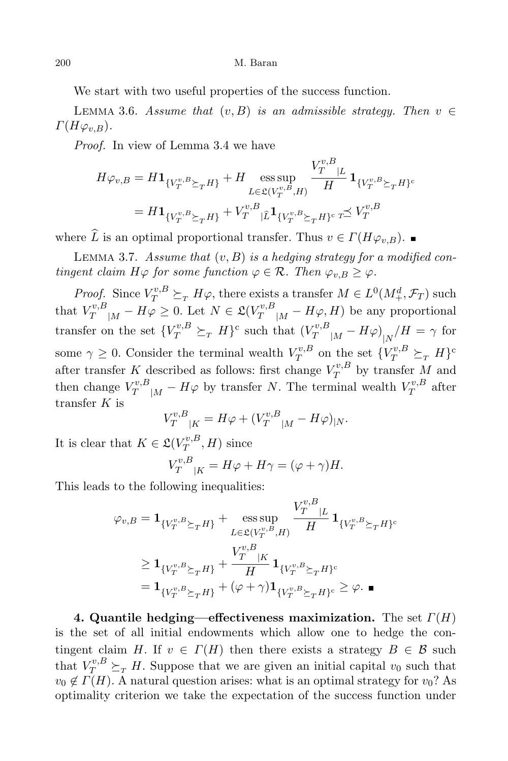We start with two useful properties of the success function.

LEMMA 3.6. *Assume* that  $(v, B)$  *is an admissible strategy. Then*  $v \in$  $\Gamma(H\varphi_{v,B})$ .

*Proof.* In view of Lemma 3.4 we have

$$
H\varphi_{v,B} = H\mathbf{1}_{\{V_T^{v,B}\succeq_T H\}} + H \underset{L\in\mathfrak{L}(V_T^{v,B},H)}{\text{ess sup}} \frac{V_T^{v,B}_{T}|_L}{H} \mathbf{1}_{\{V_T^{v,B}\succeq_T H\}^c}
$$
  
=  $H\mathbf{1}_{\{V_T^{v,B}\succeq_T H\}} + V_T^{v,B} |\hat{L}\mathbf{1}_{\{V_T^{v,B}\succeq_T H\}^c} \neq V_T^{v,B}$ 

where  $\widehat{L}$  is an optimal proportional transfer. Thus  $v \in \Gamma(H\varphi_{v,B})$ .

Lemma 3.7. *Assume that* (*v, B*) *is a hedging strategy for a modified contingent claim*  $H\varphi$  *for some function*  $\varphi \in \mathcal{R}$ *. Then*  $\varphi_{v,B} \geq \varphi$ *.* 

*Proof.* Since  $V_T^{v,B} \succeq_T H\varphi$ , there exists a transfer  $M \in L^0(M^d_+,\mathcal{F}_T)$  such that  $V_T^{v,B}$ <sub>*[M*</sub> − *H* $\varphi$  ≥ 0. Let  $N \in \mathfrak{L}(V_T^{v,B}$ <sub>*[M*</sub> − *H* $\varphi$ *, H*) be any proportional transfer on the set  ${V_T^{v,B}_{T}} \succeq_T H$ <sup>c</sup> such that  ${V_T^{v,B}_{T}}_{|M} - H\varphi$ <sub>|*N*</sub>  $/H = \gamma$  for some  $\gamma \geq 0$ . Consider the terminal wealth  $V_T^{v,B}$  $Y_T^{v,B}$  on the set  $\{V_T^{v,B} \succeq_T H\}^c$ after transfer *K* described as follows: first change  $V_T^{v,B}$  $T^{v,D}_T$  by transfer M and then change  $V_T^{v,B}$ <sub>|*M*</sub> − *H* $\varphi$  by transfer *N*. The terminal wealth  $V_T^{v,B}$  $T^{v,B}_{T}$  after transfer *K* is

$$
V_T^{v,B}{}_{|K} = H\varphi + (V_T^{v,B}{}_{|M} - H\varphi)_{|N}.
$$

It is clear that  $K \in \mathfrak{L}(V_T^{v,B})$  $T^{v,D}_T$ , *H*) since

$$
V_T^{v,B}_{T|K} = H\varphi + H\gamma = (\varphi + \gamma)H.
$$

This leads to the following inequalities:

$$
\varphi_{v,B} = \mathbf{1}_{\{V_T^{v,B}\succeq_T H\}} + \underset{L \in \mathfrak{L}(V_T^{v,B},H)}{\text{ess sup}} \frac{V_T^{v,B}_{T}|_L}{H} \mathbf{1}_{\{V_T^{v,B}\succeq_T H\}^c}
$$
\n
$$
\geq \mathbf{1}_{\{V_T^{v,B}\succeq_T H\}} + \frac{V_T^{v,B}_{T}|_K}{H} \mathbf{1}_{\{V_T^{v,B}\succeq_T H\}^c}
$$
\n
$$
= \mathbf{1}_{\{V_T^{v,B}\succeq_T H\}} + (\varphi + \gamma) \mathbf{1}_{\{V_T^{v,B}\succeq_T H\}^c} \geq \varphi.
$$

**4. Quantile hedging—effectiveness maximization.** The set *Γ*(*H*) is the set of all initial endowments which allow one to hedge the contingent claim *H*. If  $v \in \Gamma(H)$  then there exists a strategy  $B \in \mathcal{B}$  such that  $V_T^{v,B}_{T} \succeq_T H$ . Suppose that we are given an initial capital  $v_0$  such that  $v_0 \notin \Gamma(H)$ . A natural question arises: what is an optimal strategy for  $v_0$ ? As optimality criterion we take the expectation of the success function under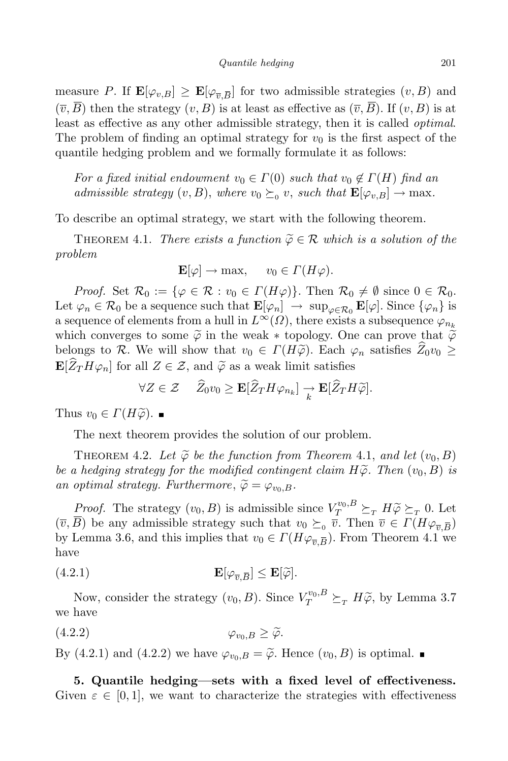measure *P*. If  $\mathbf{E}[\varphi_{v,B}] \geq \mathbf{E}[\varphi_{\overline{v},\overline{B}}]$  for two admissible strategies  $(v,B)$  and  $(\overline{v}, \overline{B})$  then the strategy  $(v, B)$  is at least as effective as  $(\overline{v}, \overline{B})$ . If  $(v, B)$  is at least as effective as any other admissible strategy, then it is called *optimal*. The problem of finding an optimal strategy for  $v<sub>0</sub>$  is the first aspect of the quantile hedging problem and we formally formulate it as follows:

*For a fixed initial endowment*  $v_0 \in \Gamma(0)$  *such that*  $v_0 \notin \Gamma(H)$  *find an admissible strategy*  $(v, B)$ , *where*  $v_0 \succeq_0 v$ , *such that*  $\mathbf{E}[\varphi_{v,B}] \to \max$ .

To describe an optimal strategy, we start with the following theorem.

THEOREM 4.1. *There exists* a *function*  $\widetilde{\varphi} \in \mathcal{R}$  *which is* a *solution* of the *problem*

$$
\mathbf{E}[\varphi] \to \max, \quad v_0 \in \Gamma(H\varphi).
$$

*Proof.* Set  $\mathcal{R}_0 := \{ \varphi \in \mathcal{R} : v_0 \in \Gamma(H\varphi) \}$ . Then  $\mathcal{R}_0 \neq \emptyset$  since  $0 \in \mathcal{R}_0$ . Let  $\varphi_n \in \mathcal{R}_0$  be a sequence such that  $\mathbf{E}[\varphi_n] \to \sup_{\varphi \in \mathcal{R}_0} \mathbf{E}[\varphi]$ . Since  $\{\varphi_n\}$  is a sequence of elements from a hull in  $L^{\infty}(\Omega)$ , there exists a subsequence  $\varphi_{n_k}$ which converges to some  $\tilde{\varphi}$  in the weak  $*$  topology. One can prove that  $\tilde{\varphi}$ belongs to *R*. We will show that  $v_0 \in \Gamma(H\widetilde{\varphi})$ . Each  $\varphi_n$  satisfies  $Z_0v_0 \geq$  $\mathbf{E}[\widehat{Z}_T H \varphi_n]$  for all  $Z \in \mathcal{Z}$ , and  $\widetilde{\varphi}$  as a weak limit satisfies

$$
\forall Z \in \mathcal{Z} \quad \widehat{Z}_0 v_0 \geq \mathbf{E}[\widehat{Z}_T H \varphi_{n_k}] \underset{k}{\rightarrow} \mathbf{E}[\widehat{Z}_T H \widetilde{\varphi}].
$$

Thus  $v_0 \in \Gamma(H\widetilde{\varphi})$ .

The next theorem provides the solution of our problem.

THEOREM 4.2. Let  $\widetilde{\varphi}$  be the function from Theorem 4.1, and let  $(v_0, B)$ *be <sup>a</sup> hedging strategy for the modified contingent claim Hϕ*e*. Then* (*v*0*, <sup>B</sup>*) *is an optimal strategy. Furthermore*,  $\widetilde{\varphi} = \varphi_{v_0,B}$ *.* 

*Proof.* The strategy  $(v_0, B)$  is admissible since  $V^{v_0, B}_{T} \succeq_T H \widetilde{\varphi} \succeq_T 0$ . Let  $(\overline{v}, B)$  be any admissible strategy such that  $v_0 \succeq_0 \overline{v}$ . Then  $\overline{v} \in \Gamma(H\varphi_{\overline{v}, \overline{B}})$ by Lemma 3.6, and this implies that  $v_0 \in \Gamma(H\varphi_{\overline{v},\overline{B}})$ . From Theorem 4.1 we have

(4.2.1) 
$$
\mathbf{E}[\varphi_{\overline{v},\overline{B}}] \leq \mathbf{E}[\widetilde{\varphi}].
$$

Now, consider the strategy  $(v_0, B)$ . Since  $V_T^{v_0, B} \succeq_T H\widetilde{\varphi}$ , by Lemma 3.7 we have

$$
(4.2.2) \t\t \t\t \varphi_{v_0,B} \geq \widetilde{\varphi}.
$$

By (4.2.1) and (4.2.2) we have  $\varphi_{v_0,B} = \widetilde{\varphi}$ . Hence  $(v_0,B)$  is optimal.

**5. Quantile hedging—sets with a fixed level of effectiveness.** Given  $\varepsilon \in [0,1]$ , we want to characterize the strategies with effectiveness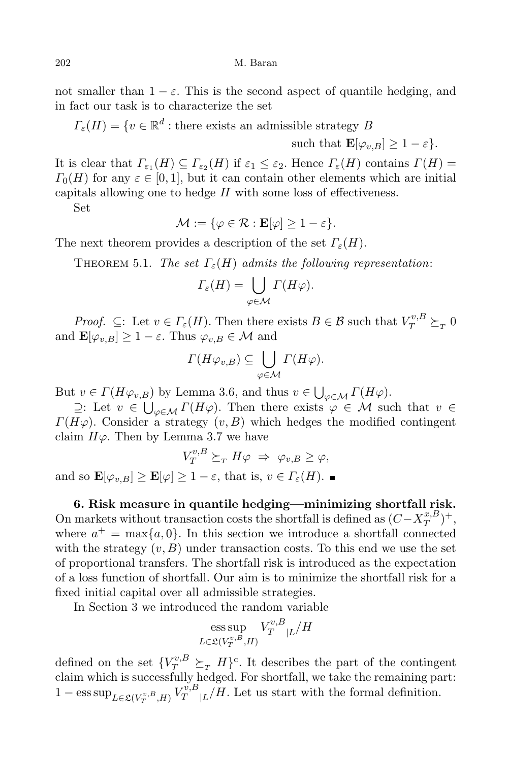not smaller than  $1 - \varepsilon$ . This is the second aspect of quantile hedging, and in fact our task is to characterize the set

 $\Gamma_{\varepsilon}(H) = \{ v \in \mathbb{R}^d : \text{there exists an admissible strategy } B \}$ 

such that  $\mathbf{E}[\varphi_n] > 1 - \varepsilon$ .

It is clear that  $\Gamma_{\varepsilon_1}(H) \subseteq \Gamma_{\varepsilon_2}(H)$  if  $\varepsilon_1 \leq \varepsilon_2$ . Hence  $\Gamma_{\varepsilon}(H)$  contains  $\Gamma(H) =$  $\Gamma_0(H)$  for any  $\varepsilon \in [0,1]$ , but it can contain other elements which are initial capitals allowing one to hedge *H* with some loss of effectiveness.

Set

$$
\mathcal{M} := \{ \varphi \in \mathcal{R} : \mathbf{E}[\varphi] \ge 1 - \varepsilon \}.
$$

The next theorem provides a description of the set  $\Gamma_{\varepsilon}(H)$ .

**THEOREM** 5.1. *The set*  $\Gamma_{\varepsilon}(H)$  *admits the following representation:* 

$$
\Gamma_{\varepsilon}(H) = \bigcup_{\varphi \in \mathcal{M}} \Gamma(H\varphi).
$$

*Proof.*  $\subseteq$ : Let  $v \in \Gamma_{\varepsilon}(H)$ . Then there exists  $B \in \mathcal{B}$  such that  $V_T^{v,B} \succeq_T 0$ and  $\mathbf{E}[\varphi_{v,B}] \geq 1 - \varepsilon$ . Thus  $\varphi_{v,B} \in \mathcal{M}$  and

$$
\Gamma(H\varphi_{v,B})\subseteq \bigcup_{\varphi\in\mathcal{M}}\Gamma(H\varphi).
$$

But  $v \in \Gamma(H\varphi_{v,B})$  by Lemma 3.6, and thus  $v \in \bigcup_{\varphi \in \mathcal{M}} \Gamma(H\varphi)$ .

*⊇*: Let  $v \in \bigcup_{\varphi \in \mathcal{M}} \Gamma(H\varphi)$ . Then there exists  $\varphi \in \mathcal{M}$  such that  $v \in \mathcal{G}$ . *Γ*( $Hφ$ ). Consider a strategy  $(v, B)$  which hedges the modified contingent claim  $H\varphi$ . Then by Lemma 3.7 we have

$$
V_T^{v,B} \succeq_T H\varphi \Rightarrow \varphi_{v,B} \ge \varphi,
$$

and so  $\mathbf{E}[\varphi_{v,B}] \geq \mathbf{E}[\varphi] \geq 1 - \varepsilon$ , that is,  $v \in \Gamma_{\varepsilon}(H)$ .

**6. Risk measure in quantile hedging—minimizing shortfall risk.** On markets without transaction costs the shortfall is defined as  $(C - X_T^{x,B})$  $\binom{x,B}{T}$ <sup>+</sup>, where  $a^+$  = max $\{a, 0\}$ . In this section we introduce a shortfall connected with the strategy  $(v, B)$  under transaction costs. To this end we use the set of proportional transfers. The shortfall risk is introduced as the expectation of a loss function of shortfall. Our aim is to minimize the shortfall risk for a fixed initial capital over all admissible strategies.

In Section 3 we introduced the random variable

$$
\operatorname{ess\,sup}_{L\in\mathfrak{L}(V_T^{v,B},H)}V_T^{v,B}_{|L}/H
$$

defined on the set  ${V_T^{v,B}} \succeq_T H$ <sup>c</sup>. It describes the part of the contingent claim which is successfully hedged. For shortfall, we take the remaining part:  $1 - \text{ess sup}_{L \in \mathfrak{L}(V_T^{v,B},H)} V_T^{v,B}$  $T^{v,B}_{T}|L/H$ . Let us start with the formal definition.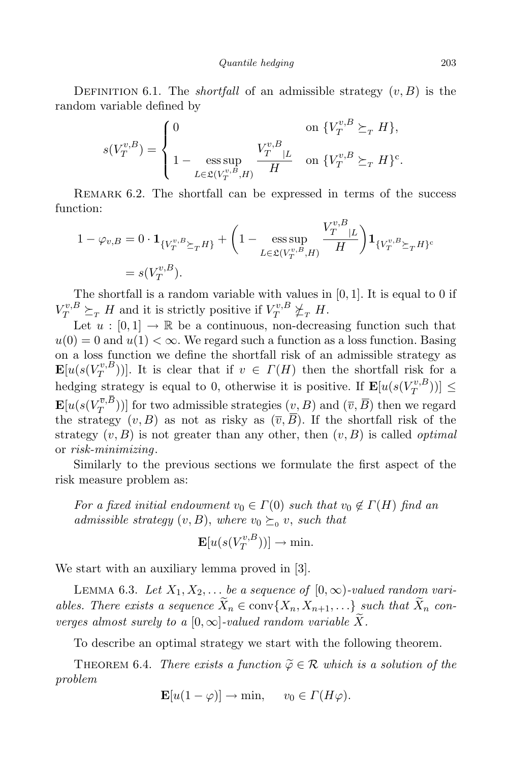*Quantile hedging* 203

DEFINITION 6.1. The *shortfall* of an admissible strategy  $(v, B)$  is the random variable defined by

$$
s(V_T^{v,B})=\left\{\begin{aligned} &0 &&\textrm{on }\{V_T^{v,B}\succeq_T H\},\\ &1-\mathop{\rm ess\,sup}\limits_{L\in\mathfrak L(V_T^{v,B},H)}\frac{V_T^{v,B}}{H} &&\textrm{on }\{V_T^{v,B}\succeq_T H\}^{\rm c}. \end{aligned}\right.
$$

Remark 6.2. The shortfall can be expressed in terms of the success function:

$$
1 - \varphi_{v,B} = 0 \cdot \mathbf{1}_{\{V_T^{v,B}\succeq_T H\}} + \left(1 - \underset{L \in \mathfrak{L}(V_T^{v,B},H)}{\text{ess sup}} \frac{V_T^{v,B}_{T}|_L}{H}\right) \mathbf{1}_{\{V_T^{v,B}\succeq_T H\}^c}
$$
  
=  $s(V_T^{v,B}).$ 

The shortfall is a random variable with values in [0*,* 1]. It is equal to 0 if  $V_T^{v,B} \succeq_T H$  and it is strictly positive if  $V_T^{v,B} \not\succeq_T H$ .

Let  $u : [0, 1] \to \mathbb{R}$  be a continuous, non-decreasing function such that  $u(0) = 0$  and  $u(1) < \infty$ . We regard such a function as a loss function. Basing on a loss function we define the shortfall risk of an admissible strategy as  $\mathbf{E}[u(s(V^{v,B}_T$  $(T_T^{(v,B)})$ . It is clear that if  $v \in \Gamma(H)$  then the shortfall risk for a hedging strategy is equal to 0, otherwise it is positive. If  $\mathbf{E}[u(s(V_T^{v,B}$ *T* ))] *≤*  $\textbf{E}[u(s(V_{T}^{\overline{v},B}% ,\overline{w}^{z},\overline{w}^{z},\overline{w}^{z},\overline{w}^{z},\overline{w}^{z},\overline{w}^{z},\overline{w}^{z},\overline{w}^{z},\overline{w}^{z},\overline{w}^{z},\overline{w}^{z},\overline{w}^{z},\overline{w}^{z},\overline{w}^{z},\overline{w}^{z},\overline{w}^{z},\overline{w}^{z},\overline{w}^{z},\overline{w}^{z},\overline{w}^{z},\overline{w}^{z},\overline{w}^{z},$  $(T^{v,D}_{T})$ )] for two admissible strategies  $(v, B)$  and  $(\overline{v}, B)$  then we regard the strategy  $(v, B)$  as not as risky as  $(\overline{v}, \overline{B})$ . If the shortfall risk of the strategy  $(v, B)$  is not greater than any other, then  $(v, B)$  is called *optimal* or *risk-minimizing*.

Similarly to the previous sections we formulate the first aspect of the risk measure problem as:

*For a fixed initial* endowment  $v_0 \in \Gamma(0)$  *such* that  $v_0 \notin \Gamma(H)$  *find an admissible strategy*  $(v, B)$ , *where*  $v_0 \succeq_0 v$ , *such that* 

$$
\mathbf{E}[u(s(V_T^{v,B}))] \to \min.
$$

We start with an auxiliary lemma proved in [3].

LEMMA 6.3. Let  $X_1, X_2, \ldots$  be a sequence of  $[0, \infty)$ -valued random variables. There exists a sequence  $\widetilde{X}_n \in \text{conv}\{X_n, X_{n+1}, ...\}$  such that  $\widetilde{X}_n$  con*verges* almost surely to a  $[0, \infty]$ -valued random variable X.

To describe an optimal strategy we start with the following theorem.

THEOREM 6.4. *There exists* a *function*  $\widetilde{\varphi} \in \mathcal{R}$  *which is* a *solution* of the *problem*

$$
\mathbf{E}[u(1-\varphi)] \to \min, \quad v_0 \in \Gamma(H\varphi).
$$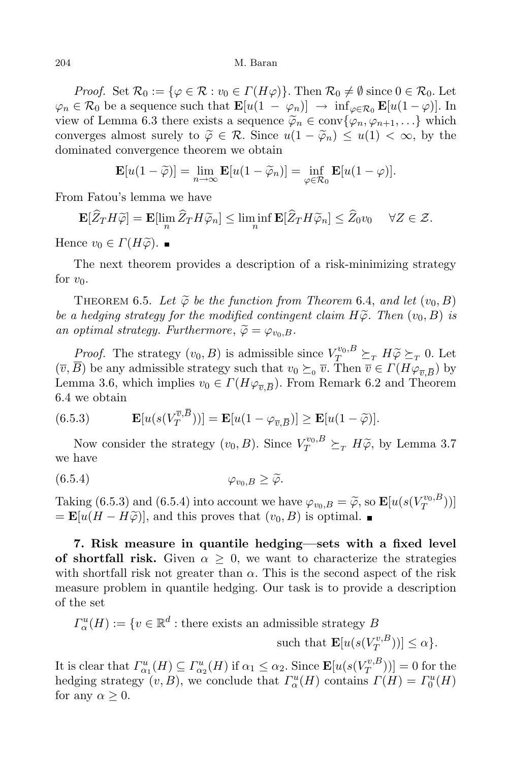204 M. Baran

*Proof.* Set  $\mathcal{R}_0 := \{ \varphi \in \mathcal{R} : v_0 \in \Gamma(H\varphi) \}$ . Then  $\mathcal{R}_0 \neq \emptyset$  since  $0 \in \mathcal{R}_0$ . Let  $\varphi_n \in \mathcal{R}_0$  be a sequence such that  $\mathbf{E}[u(1-\varphi_n)] \to \inf_{\varphi \in \mathcal{R}_0} \mathbf{E}[u(1-\varphi)]$ . In view of Lemma 6.3 there exists a sequence  $\tilde{\varphi}_n \in \text{conv}\{\varphi_n, \varphi_{n+1}, \ldots\}$  which converges almost surely to  $\widetilde{\varphi} \in \mathcal{R}$ . Since  $u(1 - \widetilde{\varphi}_n) \leq u(1) < \infty$ , by the dominated convergence theorem we obtain

$$
\mathbf{E}[u(1-\widetilde{\varphi})] = \lim_{n \to \infty} \mathbf{E}[u(1-\widetilde{\varphi}_n)] = \inf_{\varphi \in \mathcal{R}_0} \mathbf{E}[u(1-\varphi)].
$$

From Fatou's lemma we have

$$
\mathbf{E}[\widehat{Z}_T H \widetilde{\varphi}] = \mathbf{E}[\lim_n \widehat{Z}_T H \widetilde{\varphi}_n] \le \liminf_n \mathbf{E}[\widehat{Z}_T H \widetilde{\varphi}_n] \le \widehat{Z}_0 v_0 \quad \forall Z \in \mathcal{Z}.
$$

Hence  $v_0 \in \Gamma(H\varphi)$ .

The next theorem provides a description of a risk-minimizing strategy for  $v_0$ .

THEOREM 6.5. Let  $\widetilde{\varphi}$  be the function from Theorem 6.4, and let  $(v_0, B)$ *be a hedging strategy for the modified contingent claim*  $H\tilde{\varphi}$ *. Then*  $(v_0, B)$  *is an optimal strategy. Furthermore*,  $\widetilde{\varphi} = \varphi_{v_0,B}$ *.* 

*Proof.* The strategy  $(v_0, B)$  is admissible since  $V_{T}^{v_0, B} \succeq_{T} H \widetilde{\varphi} \succeq_{T} 0$ . Let  $(\overline{v}, B)$  be any admissible strategy such that  $v_0 \succeq_0 \overline{v}$ . Then  $\overline{v} \in \Gamma(H\varphi_{\overline{v}, \overline{B}})$  by Lemma 3.6, which implies  $v_0 \in \Gamma(H\varphi_{\overline{v},\overline{B}})$ . From Remark 6.2 and Theorem 6.4 we obtain

(6.5.3) 
$$
\mathbf{E}[u(s(V_T^{\overline{v},B}))]=\mathbf{E}[u(1-\varphi_{\overline{v},\overline{B}})] \geq \mathbf{E}[u(1-\widetilde{\varphi})].
$$

Now consider the strategy  $(v_0, B)$ . Since  $V_T^{v_0, B} \succeq_T H\widetilde{\varphi}$ , by Lemma 3.7 we have

$$
(6.5.4) \t\t \t\t \varphi_{v_0,B} \ge \widetilde{\varphi}.
$$

Taking  $(6.5.3)$  and  $(6.5.4)$  into account we have  $\varphi_{v_0,B} = \widetilde{\varphi}$ , so  $\mathbf{E}[u(s(V_T^{v_0,B}$  $T^{v_0,B})$ ]  $= \mathbf{E}[u(H - H\widetilde{\varphi})],$  and this proves that  $(v_0, B)$  is optimal.

**7. Risk measure in quantile hedging—sets with a fixed level of shortfall risk.** Given  $\alpha \geq 0$ , we want to characterize the strategies with shortfall risk not greater than  $\alpha$ . This is the second aspect of the risk measure problem in quantile hedging. Our task is to provide a description of the set

$$
\varGamma^n_\alpha(H) := \{ v \in \mathbb{R}^d : \text{there exists an admissible strategy } B \}
$$

such that  $\mathbf{E}[u(s(V_T^{v,B}_T))]$  $(T^{v,D}_T))]\leq \alpha$ .

 $I$ **t** is clear that  $\Gamma^u_{\alpha_1}(H) \subseteq \Gamma^u_{\alpha_2}(H)$  if  $\alpha_1 \leq \alpha_2$ . Since  $\mathbf{E}[u(s(V_T^{v,B}))]$  $\begin{bmatrix} T^{v,B}(T) \end{bmatrix}$  = 0 for the hedging strategy  $(v, B)$ , we conclude that  $\Gamma^u_{\alpha}(H)$  contains  $\Gamma(H) = \Gamma^u_0(H)$ for any  $\alpha \geq 0$ .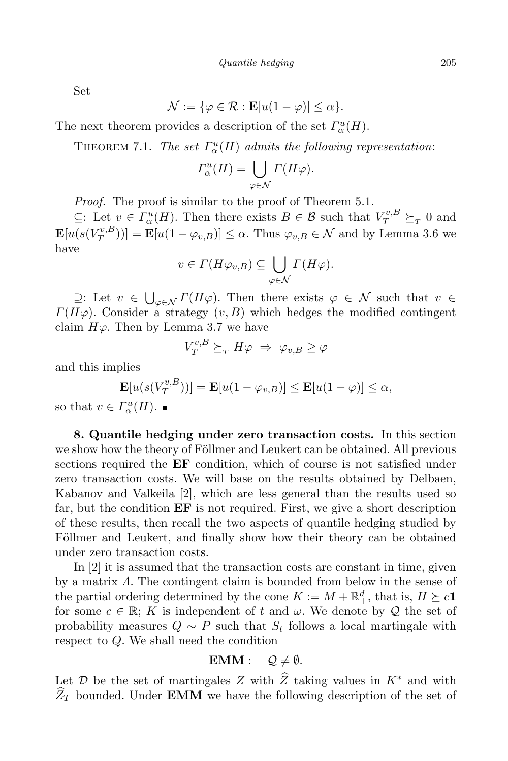Set

$$
\mathcal{N} := \{ \varphi \in \mathcal{R} : \mathbf{E}[u(1-\varphi)] \le \alpha \}.
$$

The next theorem provides a description of the set  $\Gamma_\alpha^u(H)$ .

THEOREM 7.1. *The set*  $\Gamma^u_\alpha(H)$  *admits the following representation*:

$$
\Gamma_{\alpha}^{u}(H) = \bigcup_{\varphi \in \mathcal{N}} \Gamma(H\varphi).
$$

*Proof.* The proof is similar to the proof of Theorem 5.1.

*⊆*: Let  $v \in \Gamma_\alpha^u(H)$ . Then there exists  $B \in \mathcal{B}$  such that  $V_T^{v,B} \succeq_T 0$  and  $\mathbf{E}[u(s(V^{v,B}_T$  $(T_T^{(v,B)})$ ] = **E**[ $u(1 - \varphi_{v,B})$ ]  $\leq \alpha$ . Thus  $\varphi_{v,B} \in \mathcal{N}$  and by Lemma 3.6 we have

$$
v \in \Gamma(H\varphi_{v,B}) \subseteq \bigcup_{\varphi \in \mathcal{N}} \Gamma(H\varphi).
$$

 $≥$ : Let *v*  $∈$  ∪<sub>*φ* $∈$ *N*</sub> *Γ*(*Hϕ*). Then there exists *ϕ*  $∈$  *N* such that *v*  $∈$  *π*).  $∴$  *π*) *Γ*( $Hφ$ ). Consider a strategy  $(v, B)$  which hedges the modified contingent claim  $H\varphi$ . Then by Lemma 3.7 we have

$$
V_T^{v,B} \succeq_T H\varphi \Rightarrow \varphi_{v,B} \ge \varphi
$$

and this implies

$$
\mathbf{E}[u(s(V_T^{v,B}))] = \mathbf{E}[u(1-\varphi_{v,B})] \le \mathbf{E}[u(1-\varphi)] \le \alpha,
$$
  
\n
$$
F^u(H) =
$$

so that  $v \in \Gamma^n_\alpha(H)$ .

**8. Quantile hedging under zero transaction costs.** In this section we show how the theory of Föllmer and Leukert can be obtained. All previous sections required the **EF** condition, which of course is not satisfied under zero transaction costs. We will base on the results obtained by Delbaen, Kabanov and Valkeila [2], which are less general than the results used so far, but the condition **EF** is not required. First, we give a short description of these results, then recall the two aspects of quantile hedging studied by Föllmer and Leukert, and finally show how their theory can be obtained under zero transaction costs.

In [2] it is assumed that the transaction costs are constant in time, given by a matrix *Λ*. The contingent claim is bounded from below in the sense of the partial ordering determined by the cone  $K := M + \mathbb{R}^d_+$ , that is,  $H \succeq c\mathbf{1}$ for some  $c \in \mathbb{R}$ ; *K* is independent of *t* and *ω*. We denote by *Q* the set of probability measures  $Q \sim P$  such that  $S_t$  follows a local martingale with respect to *Q*. We shall need the condition

$$
EMM: \quad \mathcal{Q} \neq \emptyset.
$$

Let  $\mathcal{D}$  be the set of martingales  $Z$  with  $\hat{Z}$  taking values in  $K^*$  and with  $\widehat{Z}_T$  bounded. Under **EMM** we have the following description of the set of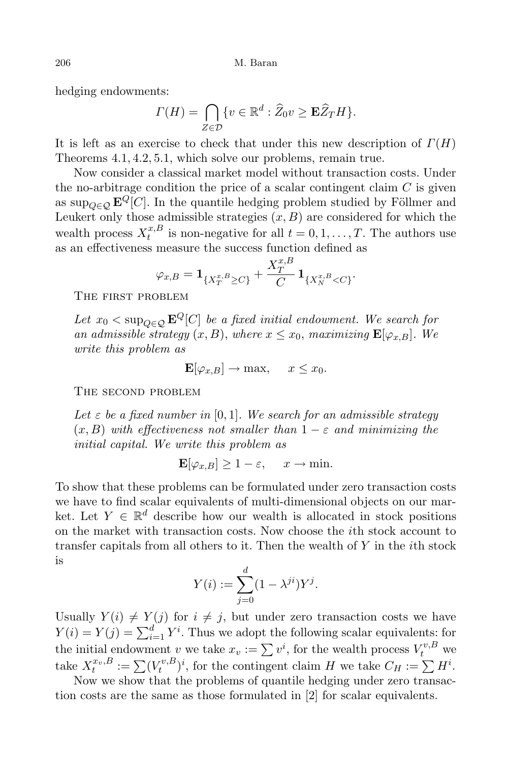hedging endowments:

$$
\Gamma(H) = \bigcap_{Z \in \mathcal{D}} \{v \in \mathbb{R}^d : \widehat{Z}_0 v \ge \mathbf{E} \widehat{Z}_T H \}.
$$

It is left as an exercise to check that under this new description of *Γ*(*H*) Theorems 4*.*1*,* 4*.*2*,* 5*.*1, which solve our problems, remain true.

Now consider a classical market model without transaction costs. Under the no-arbitrage condition the price of a scalar contingent claim *C* is given as sup<sub> $Q \in \mathcal{C}$ </sub>  $\mathbf{E}^Q[C]$ . In the quantile hedging problem studied by Föllmer and Leukert only those admissible strategies  $(x, B)$  are considered for which the wealth process  $X_t^{x,B}$  $t^{x, B}_{t}$  is non-negative for all  $t = 0, 1, \ldots, T$ . The authors use as an effectiveness measure the success function defined as

$$
\varphi_{x,B} = \mathbf{1}_{\{X_T^{x,B} \ge C\}} + \frac{X_T^{x,B}}{C} \mathbf{1}_{\{X_N^{x,B} < C\}}.
$$

The first problem

*Let*  $x_0 < \sup_{Q \in \mathcal{Q}} \mathbf{E}^Q[C]$  *be a fixed initial endowment.* We search for *an admissible strategy*  $(x, B)$ , *where*  $x \leq x_0$ , *maximizing*  $\mathbf{E}[\varphi_{x,B}]$ *.* We *write this problem as*

$$
\mathbf{E}[\varphi_{x,B}] \to \max, \quad x \le x_0.
$$

The second problem

*Let*  $\varepsilon$  *be a fixed number in* [0,1]*. We search for an admissible strategy*  $(x, B)$  *with effectiveness not smaller than*  $1 - \varepsilon$  *and minimizing the initial capital. We write this problem as*

$$
\mathbf{E}[\varphi_{x,B}] \ge 1 - \varepsilon, \quad x \to \min.
$$

To show that these problems can be formulated under zero transaction costs we have to find scalar equivalents of multi-dimensional objects on our market. Let  $Y \in \mathbb{R}^d$  describe how our wealth is allocated in stock positions on the market with transaction costs. Now choose the *i*th stock account to transfer capitals from all others to it. Then the wealth of *Y* in the *i*th stock is

$$
Y(i) := \sum_{j=0}^{d} (1 - \lambda^{ji}) Y^{j}.
$$

Usually  $Y(i) \neq Y(j)$  for  $i \neq j$ , but under zero transaction costs we have  $Y(i) = Y(j) = \sum_{i=1}^{d} Y^{i}$ . Thus we adopt the following scalar equivalents: for the initial endowment *v* we take  $x_v := \sum v^i$ , for the wealth process  $V_t^{v,B}$  we take  $X_t^{x_v, B} := \sum_{t} (V_t^{v, B}$  $(t_t^{v,B})^i$ , for the contingent claim *H* we take  $C_H := \sum H^i$ .

Now we show that the problems of quantile hedging under zero transaction costs are the same as those formulated in [2] for scalar equivalents.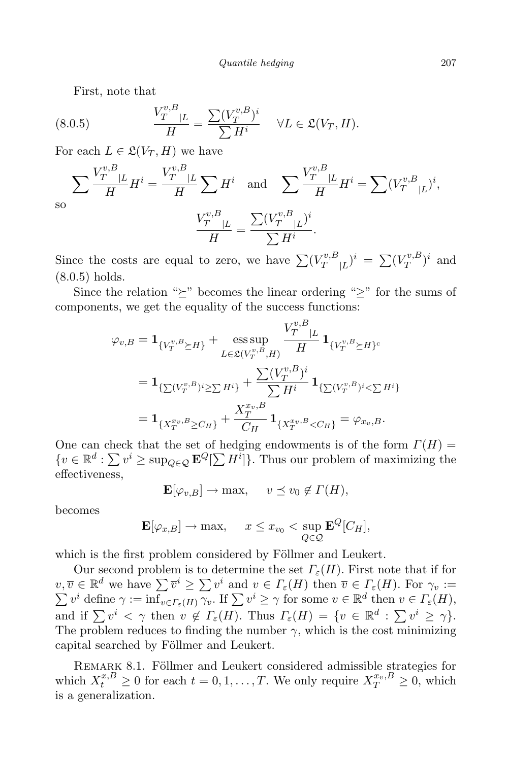First, note that

(8.0.5) 
$$
\frac{V_T^{v,B}_{T}|_L}{H} = \frac{\sum (V_T^{v,B})^i}{\sum H^i} \quad \forall L \in \mathfrak{L}(V_T, H).
$$

For each  $L \in \mathfrak{L}(V_T, H)$  we have

so 
$$
\sum \frac{V_T^{v,B}_{T}}{H} H^i = \frac{V_T^{v,B}_{T}}{H} \sum H^i \text{ and } \sum \frac{V_T^{v,B}_{T}}{H} H^i = \sum (V_T^{v,B}_{|L})^i,
$$

$$
\frac{V_T^{v,B}_{T}}{H} = \frac{\sum (V_T^{v,B}_{T})^i}{\sum H^i}.
$$

Since the costs are equal to zero, we have  $\sum (V_T^{v,B})$  $(T^{v,B}_{T}|_L)^i = \sum (V^{v,B}_{T})$  $(T^{v,B})^i$  and (8*.*0*.*5) holds.

Since the relation " $\succeq$ " becomes the linear ordering " $\geq$ " for the sums of components, we get the equality of the success functions:

$$
\varphi_{v,B} = \mathbf{1}_{\{V_T^{v,B} \succeq H\}} + \underset{L \in \mathfrak{L}(V_T^{v,B},H)}{\text{ess sup}} \frac{V_T^{v,B}_{T} |_{L}}{H} \mathbf{1}_{\{V_T^{v,B} \succeq H\}^c}
$$
\n
$$
= \mathbf{1}_{\{\sum(V_T^{v,B})^i \ge \sum H^i\}} + \frac{\sum(V_T^{v,B})^i}{\sum H^i} \mathbf{1}_{\{\sum(V_T^{v,B})^i < \sum H^i\}}
$$
\n
$$
= \mathbf{1}_{\{X_T^{xv,B} \succeq C_H\}} + \frac{X_T^{xv,B}}{C_H} \mathbf{1}_{\{X_T^{xv,B} < C_H\}} = \varphi_{xv,B}.
$$

One can check that the set of hedging endowments is of the form  $\Gamma(H)$  =  ${v \in \mathbb{R}^d : \sum v^i \ge \sup_{Q \in \mathcal{Q}} \mathbf{E}^Q[\sum H^i]}$ . Thus our problem of maximizing the effectiveness,

$$
\mathbf{E}[\varphi_{v,B}] \to \max, \quad v \le v_0 \notin \Gamma(H),
$$

becomes

$$
\mathbf{E}[\varphi_{x,B}] \to \max, \quad x \le x_{v_0} < \sup_{Q \in \mathcal{Q}} \mathbf{E}^Q[C_H],
$$

which is the first problem considered by Föllmer and Leukert.

Our second problem is to determine the set  $\Gamma_{\varepsilon}(H)$ . First note that if for  $v, \overline{v} \in \mathbb{R}^d$  we have  $\sum \overline{v}^i \geq \sum v^i$  and  $v \in \Gamma_{\varepsilon}(H)$  then  $\overline{v} \in \Gamma_{\varepsilon}(H)$ . For  $\gamma_v :=$  $\sum v^i$  define  $\gamma := \inf_{v \in \Gamma_{\varepsilon}(H)} \overline{\gamma_v}$ . If  $\sum v^i \geq \gamma$  for some  $v \in \mathbb{R}^d$  then  $v \in \Gamma_{\varepsilon}(H)$ , and if  $\sum v^i < \gamma$  then  $v \notin \Gamma_\varepsilon(H)$ . Thus  $\Gamma_\varepsilon(H) = \{v \in \mathbb{R}^d : \sum v^i \geq \gamma\}.$ The problem reduces to finding the number  $\gamma$ , which is the cost minimizing capital searched by Föllmer and Leukert.

REMARK 8.1. Föllmer and Leukert considered admissible strategies for which  $X_t^{x,B} \ge 0$  for each  $t = 0, 1, \ldots, T$ . We only require  $X_T^{x_v, B} \ge 0$ , which is a generalization.